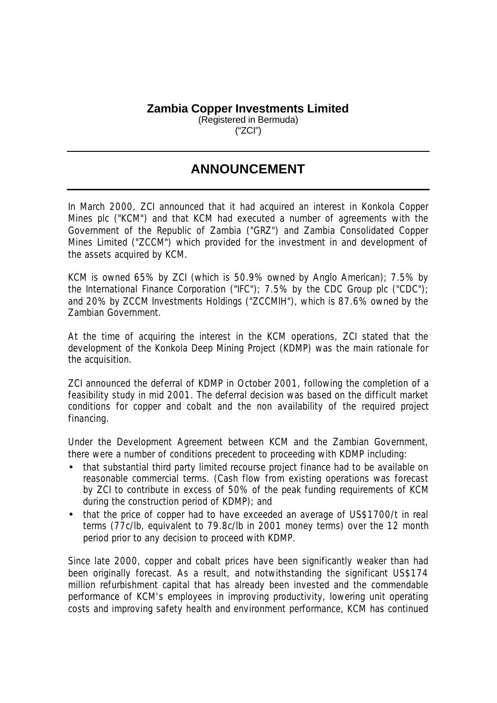## **Zambia Copper Investments Limited**

(Registered in Bermuda) ("ZCI")

## **ANNOUNCEMENT**

In March 2000, ZCI announced that it had acquired an interest in Konkola Copper Mines plc ("KCM") and that KCM had executed a number of agreements with the Government of the Republic of Zambia ("GRZ") and Zambia Consolidated Copper Mines Limited ("ZCCM") which provided for the investment in and development of the assets acquired by KCM.

KCM is owned 65% by ZCI (which is 50.9% owned by Anglo American); 7.5% by the International Finance Corporation ("IFC"); 7.5% by the CDC Group plc ("CDC"); and 20% by ZCCM Investments Holdings ("ZCCMIH"), which is 87.6% owned by the Zambian Government.

At the time of acquiring the interest in the KCM operations, ZCI stated that the development of the Konkola Deep Mining Project (KDMP) was the main rationale for the acquisition.

ZCI announced the deferral of KDMP in October 2001, following the completion of a feasibility study in mid 2001. The deferral decision was based on the difficult market conditions for copper and cobalt and the non availability of the required project financing.

Under the Development Agreement between KCM and the Zambian Government, there were a number of conditions precedent to proceeding with KDMP including:

- that substantial third party limited recourse project finance had to be available on reasonable commercial terms. (Cash flow from existing operations was forecast by ZCI to contribute in excess of 50% of the peak funding requirements of KCM during the construction period of KDMP); and
- that the price of copper had to have exceeded an average of US\$1700/t in real terms (77c/lb, equivalent to 79.8c/lb in 2001 money terms) over the 12 month period prior to any decision to proceed with KDMP.

Since late 2000, copper and cobalt prices have been significantly weaker than had been originally forecast. As a result, and notwithstanding the significant US\$174 million refurbishment capital that has already been invested and the commendable performance of KCM's employees in improving productivity, lowering unit operating costs and improving safety health and environment performance, KCM has continued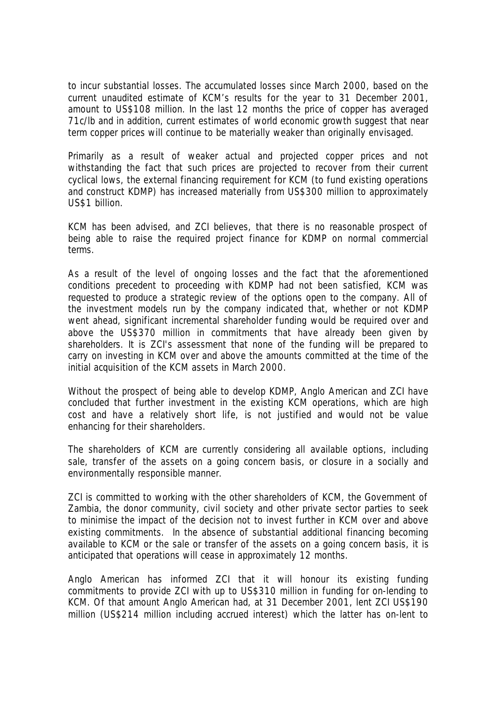to incur substantial losses. The accumulated losses since March 2000, based on the current unaudited estimate of KCM's results for the year to 31 December 2001, amount to US\$108 million. In the last 12 months the price of copper has averaged 71c/lb and in addition, current estimates of world economic growth suggest that near term copper prices will continue to be materially weaker than originally envisaged.

Primarily as a result of weaker actual and projected copper prices and not withstanding the fact that such prices are projected to recover from their current cyclical lows, the external financing requirement for KCM (to fund existing operations and construct KDMP) has increased materially from US\$300 million to approximately US\$1 billion.

KCM has been advised, and ZCI believes, that there is no reasonable prospect of being able to raise the required project finance for KDMP on normal commercial terms.

As a result of the level of ongoing losses and the fact that the aforementioned conditions precedent to proceeding with KDMP had not been satisfied, KCM was requested to produce a strategic review of the options open to the company. All of the investment models run by the company indicated that, whether or not KDMP went ahead, significant incremental shareholder funding would be required over and above the US\$370 million in commitments that have already been given by shareholders. It is ZCI's assessment that none of the funding will be prepared to carry on investing in KCM over and above the amounts committed at the time of the initial acquisition of the KCM assets in March 2000.

Without the prospect of being able to develop KDMP, Anglo American and ZCI have concluded that further investment in the existing KCM operations, which are high cost and have a relatively short life, is not justified and would not be value enhancing for their shareholders.

The shareholders of KCM are currently considering all available options, including sale, transfer of the assets on a going concern basis, or closure in a socially and environmentally responsible manner.

ZCI is committed to working with the other shareholders of KCM, the Government of Zambia, the donor community, civil society and other private sector parties to seek to minimise the impact of the decision not to invest further in KCM over and above existing commitments. In the absence of substantial additional financing becoming available to KCM or the sale or transfer of the assets on a going concern basis, it is anticipated that operations will cease in approximately 12 months.

Anglo American has informed ZCI that it will honour its existing funding commitments to provide ZCI with up to US\$310 million in funding for on-lending to KCM. Of that amount Anglo American had, at 31 December 2001, lent ZCI US\$190 million (US\$214 million including accrued interest) which the latter has on-lent to